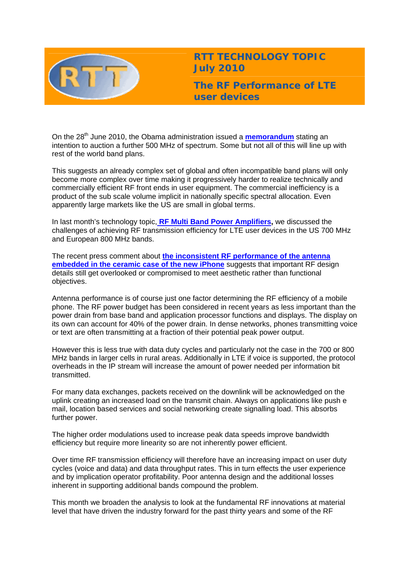

**RTT TECHNOLOGY TOPIC July 2010** 

**The RF Performance of LTE user devices** 

On the 28<sup>th</sup> June 2010, the Obama administration issued a **[memorandum](http://www.whitehouse.gov/the-press-office/presidential-memorandum-unleashing-wireless-broadband-revolution)** stating an intention to auction a further 500 MHz of spectrum. Some but not all of this will line up with rest of the world band plans.

This suggests an already complex set of global and often incompatible band plans will only become more complex over time making it progressively harder to realize technically and commercially efficient RF front ends in user equipment. The commercial inefficiency is a product of the sub scale volume implicit in nationally specific spectral allocation. Even apparently large markets like the US are small in global terms.

In last month's technology topic, **[RF Multi Band Power Amplifiers,](http://www.rttonline.com/tt/TT2010_006.pdf)** we discussed the challenges of achieving RF transmission efficiency for LTE user devices in the US 700 MHz and European 800 MHz bands.

The recent press comment about **[the inconsistent RF performance of the antenna](http://news.bbc.co.uk/1/hi/technology/8761240.stm)  [embedded in the ceramic case of the new iPhone](http://news.bbc.co.uk/1/hi/technology/8761240.stm)** suggests that important RF design details still get overlooked or compromised to meet aesthetic rather than functional objectives.

Antenna performance is of course just one factor determining the RF efficiency of a mobile phone. The RF power budget has been considered in recent years as less important than the power drain from base band and application processor functions and displays. The display on its own can account for 40% of the power drain. In dense networks, phones transmitting voice or text are often transmitting at a fraction of their potential peak power output.

However this is less true with data duty cycles and particularly not the case in the 700 or 800 MHz bands in larger cells in rural areas. Additionally in LTE if voice is supported, the protocol overheads in the IP stream will increase the amount of power needed per information bit transmitted.

For many data exchanges, packets received on the downlink will be acknowledged on the uplink creating an increased load on the transmit chain. Always on applications like push e mail, location based services and social networking create signalling load. This absorbs further power.

The higher order modulations used to increase peak data speeds improve bandwidth efficiency but require more linearity so are not inherently power efficient.

Over time RF transmission efficiency will therefore have an increasing impact on user duty cycles (voice and data) and data throughput rates. This in turn effects the user experience and by implication operator profitability. Poor antenna design and the additional losses inherent in supporting additional bands compound the problem.

This month we broaden the analysis to look at the fundamental RF innovations at material level that have driven the industry forward for the past thirty years and some of the RF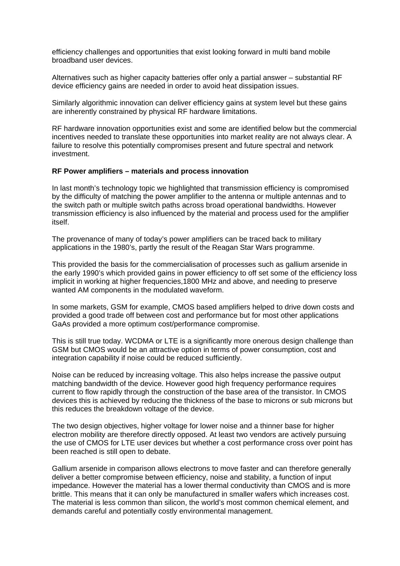efficiency challenges and opportunities that exist looking forward in multi band mobile broadband user devices.

Alternatives such as higher capacity batteries offer only a partial answer – substantial RF device efficiency gains are needed in order to avoid heat dissipation issues.

Similarly algorithmic innovation can deliver efficiency gains at system level but these gains are inherently constrained by physical RF hardware limitations.

RF hardware innovation opportunities exist and some are identified below but the commercial incentives needed to translate these opportunities into market reality are not always clear. A failure to resolve this potentially compromises present and future spectral and network investment.

### **RF Power amplifiers – materials and process innovation**

In last month's technology topic we highlighted that transmission efficiency is compromised by the difficulty of matching the power amplifier to the antenna or multiple antennas and to the switch path or multiple switch paths across broad operational bandwidths. However transmission efficiency is also influenced by the material and process used for the amplifier itself.

The provenance of many of today's power amplifiers can be traced back to military applications in the 1980's, partly the result of the Reagan Star Wars programme.

This provided the basis for the commercialisation of processes such as gallium arsenide in the early 1990's which provided gains in power efficiency to off set some of the efficiency loss implicit in working at higher frequencies,1800 MHz and above, and needing to preserve wanted AM components in the modulated waveform.

In some markets, GSM for example, CMOS based amplifiers helped to drive down costs and provided a good trade off between cost and performance but for most other applications GaAs provided a more optimum cost/performance compromise.

This is still true today. WCDMA or LTE is a significantly more onerous design challenge than GSM but CMOS would be an attractive option in terms of power consumption, cost and integration capability if noise could be reduced sufficiently.

Noise can be reduced by increasing voltage. This also helps increase the passive output matching bandwidth of the device. However good high frequency performance requires current to flow rapidly through the construction of the base area of the transistor. In CMOS devices this is achieved by reducing the thickness of the base to microns or sub microns but this reduces the breakdown voltage of the device.

The two design objectives, higher voltage for lower noise and a thinner base for higher electron mobility are therefore directly opposed. At least two vendors are actively pursuing the use of CMOS for LTE user devices but whether a cost performance cross over point has been reached is still open to debate.

Gallium arsenide in comparison allows electrons to move faster and can therefore generally deliver a better compromise between efficiency, noise and stability, a function of input impedance. However the material has a lower thermal conductivity than CMOS and is more brittle. This means that it can only be manufactured in smaller wafers which increases cost. The material is less common than silicon, the world's most common chemical element, and demands careful and potentially costly environmental management.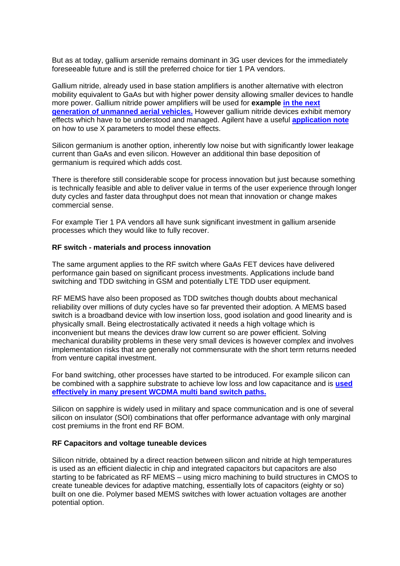But as at today, gallium arsenide remains dominant in 3G user devices for the immediately foreseeable future and is still the preferred choice for tier 1 PA vendors.

Gallium nitride, already used in base station amplifiers is another alternative with electron mobility equivalent to GaAs but with higher power density allowing smaller devices to handle more power. Gallium nitride power amplifiers will be used for **example [in the next](http://www.triquint.com/contacts/press/dspPressRelease.cfm?pressid=461)  [generation of unmanned aerial vehicles.](http://www.triquint.com/contacts/press/dspPressRelease.cfm?pressid=461)** However gallium nitride devices exhibit memory effects which have to be understood and managed. Agilent have a useful **[application note](http://cp.literature.agilent.com/litweb/pdf/5990-5799EN.pdf)** on how to use X parameters to model these effects.

Silicon germanium is another option, inherently low noise but with significantly lower leakage current than GaAs and even silicon. However an additional thin base deposition of germanium is required which adds cost.

There is therefore still considerable scope for process innovation but just because something is technically feasible and able to deliver value in terms of the user experience through longer duty cycles and faster data throughput does not mean that innovation or change makes commercial sense.

For example Tier 1 PA vendors all have sunk significant investment in gallium arsenide processes which they would like to fully recover.

#### **RF switch - materials and process innovation**

The same argument applies to the RF switch where GaAs FET devices have delivered performance gain based on significant process investments. Applications include band switching and TDD switching in GSM and potentially LTE TDD user equipment.

RF MEMS have also been proposed as TDD switches though doubts about mechanical reliability over millions of duty cycles have so far prevented their adoption. A MEMS based switch is a broadband device with low insertion loss, good isolation and good linearity and is physically small. Being electrostatically activated it needs a high voltage which is inconvenient but means the devices draw low current so are power efficient. Solving mechanical durability problems in these very small devices is however complex and involves implementation risks that are generally not commensurate with the short term returns needed from venture capital investment.

For band switching, other processes have started to be introduced. For example silicon can be combined with a sapphire substrate to achieve low loss and low capacitance and is **[used](http://www.rttonline.com/tt/TT2010_005.pdf)  [effectively in many present WCDMA multi band switch paths.](http://www.rttonline.com/tt/TT2010_005.pdf)**

Silicon on sapphire is widely used in military and space communication and is one of several silicon on insulator (SOI) combinations that offer performance advantage with only marginal cost premiums in the front end RF BOM.

#### **RF Capacitors and voltage tuneable devices**

Silicon nitride, obtained by a direct reaction between silicon and nitride at high temperatures is used as an efficient dialectic in chip and integrated capacitors but capacitors are also starting to be fabricated as RF MEMS – using micro machining to build structures in CMOS to create tuneable devices for adaptive matching, essentially lots of capacitors (eighty or so) built on one die. Polymer based MEMS switches with lower actuation voltages are another potential option.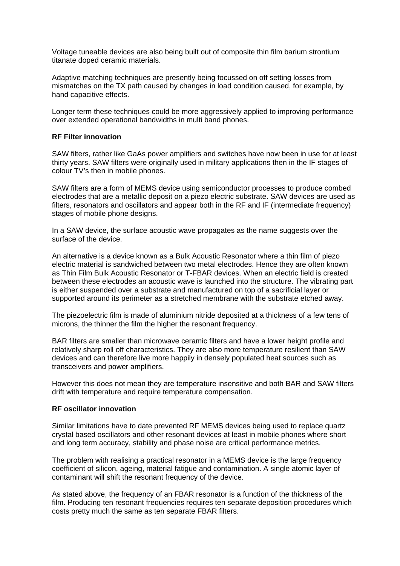Voltage tuneable devices are also being built out of composite thin film barium strontium titanate doped ceramic materials.

Adaptive matching techniques are presently being focussed on off setting losses from mismatches on the TX path caused by changes in load condition caused, for example, by hand capacitive effects.

Longer term these techniques could be more aggressively applied to improving performance over extended operational bandwidths in multi band phones.

## **RF Filter innovation**

SAW filters, rather like GaAs power amplifiers and switches have now been in use for at least thirty years. SAW filters were originally used in military applications then in the IF stages of colour TV's then in mobile phones.

SAW filters are a form of MEMS device using semiconductor processes to produce combed electrodes that are a metallic deposit on a piezo electric substrate. SAW devices are used as filters, resonators and oscillators and appear both in the RF and IF (intermediate frequency) stages of mobile phone designs.

In a SAW device, the surface acoustic wave propagates as the name suggests over the surface of the device.

An alternative is a device known as a Bulk Acoustic Resonator where a thin film of piezo electric material is sandwiched between two metal electrodes. Hence they are often known as Thin Film Bulk Acoustic Resonator or T-FBAR devices. When an electric field is created between these electrodes an acoustic wave is launched into the structure. The vibrating part is either suspended over a substrate and manufactured on top of a sacrificial layer or supported around its perimeter as a stretched membrane with the substrate etched away.

The piezoelectric film is made of aluminium nitride deposited at a thickness of a few tens of microns, the thinner the film the higher the resonant frequency.

BAR filters are smaller than microwave ceramic filters and have a lower height profile and relatively sharp roll off characteristics. They are also more temperature resilient than SAW devices and can therefore live more happily in densely populated heat sources such as transceivers and power amplifiers.

However this does not mean they are temperature insensitive and both BAR and SAW filters drift with temperature and require temperature compensation.

# **RF oscillator innovation**

Similar limitations have to date prevented RF MEMS devices being used to replace quartz crystal based oscillators and other resonant devices at least in mobile phones where short and long term accuracy, stability and phase noise are critical performance metrics.

The problem with realising a practical resonator in a MEMS device is the large frequency coefficient of silicon, ageing, material fatigue and contamination. A single atomic layer of contaminant will shift the resonant frequency of the device.

As stated above, the frequency of an FBAR resonator is a function of the thickness of the film. Producing ten resonant frequencies requires ten separate deposition procedures which costs pretty much the same as ten separate FBAR filters.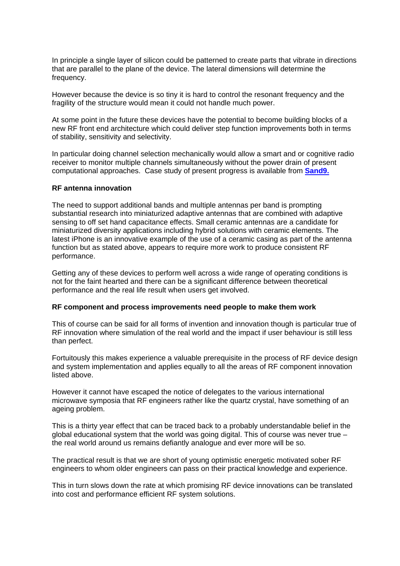In principle a single layer of silicon could be patterned to create parts that vibrate in directions that are parallel to the plane of the device. The lateral dimensions will determine the frequency.

However because the device is so tiny it is hard to control the resonant frequency and the fragility of the structure would mean it could not handle much power.

At some point in the future these devices have the potential to become building blocks of a new RF front end architecture which could deliver step function improvements both in terms of stability, sensitivity and selectivity.

In particular doing channel selection mechanically would allow a smart and or cognitive radio receiver to monitor multiple channels simultaneously without the power drain of present computational approaches. Case study of present progress is available from **[Sand9.](http://www.sand9.com/pdfs/Sand9_Chiba_2010.pdf)**

# **RF antenna innovation**

The need to support additional bands and multiple antennas per band is prompting substantial research into miniaturized adaptive antennas that are combined with adaptive sensing to off set hand capacitance effects. Small ceramic antennas are a candidate for miniaturized diversity applications including hybrid solutions with ceramic elements. The latest iPhone is an innovative example of the use of a ceramic casing as part of the antenna function but as stated above, appears to require more work to produce consistent RF performance.

Getting any of these devices to perform well across a wide range of operating conditions is not for the faint hearted and there can be a significant difference between theoretical performance and the real life result when users get involved.

### **RF component and process improvements need people to make them work**

This of course can be said for all forms of invention and innovation though is particular true of RF innovation where simulation of the real world and the impact if user behaviour is still less than perfect.

Fortuitously this makes experience a valuable prerequisite in the process of RF device design and system implementation and applies equally to all the areas of RF component innovation listed above.

However it cannot have escaped the notice of delegates to the various international microwave symposia that RF engineers rather like the quartz crystal, have something of an ageing problem.

This is a thirty year effect that can be traced back to a probably understandable belief in the global educational system that the world was going digital. This of course was never true – the real world around us remains defiantly analogue and ever more will be so.

The practical result is that we are short of young optimistic energetic motivated sober RF engineers to whom older engineers can pass on their practical knowledge and experience.

This in turn slows down the rate at which promising RF device innovations can be translated into cost and performance efficient RF system solutions.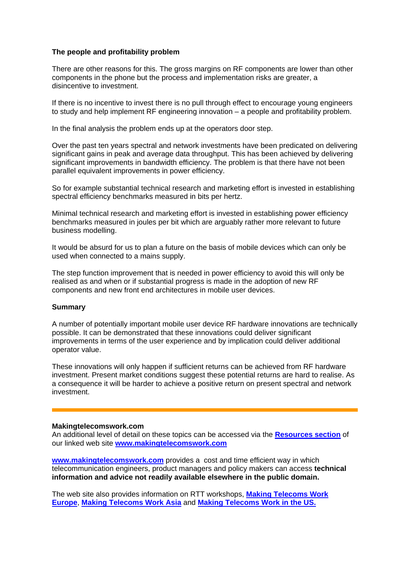# **The people and profitability problem**

There are other reasons for this. The gross margins on RF components are lower than other components in the phone but the process and implementation risks are greater, a disincentive to investment.

If there is no incentive to invest there is no pull through effect to encourage young engineers to study and help implement RF engineering innovation – a people and profitability problem.

In the final analysis the problem ends up at the operators door step.

Over the past ten years spectral and network investments have been predicated on delivering significant gains in peak and average data throughput. This has been achieved by delivering significant improvements in bandwidth efficiency. The problem is that there have not been parallel equivalent improvements in power efficiency.

So for example substantial technical research and marketing effort is invested in establishing spectral efficiency benchmarks measured in bits per hertz.

Minimal technical research and marketing effort is invested in establishing power efficiency benchmarks measured in joules per bit which are arguably rather more relevant to future business modelling.

It would be absurd for us to plan a future on the basis of mobile devices which can only be used when connected to a mains supply.

The step function improvement that is needed in power efficiency to avoid this will only be realised as and when or if substantial progress is made in the adoption of new RF components and new front end architectures in mobile user devices.

### **Summary**

A number of potentially important mobile user device RF hardware innovations are technically possible. It can be demonstrated that these innovations could deliver significant improvements in terms of the user experience and by implication could deliver additional operator value.

These innovations will only happen if sufficient returns can be achieved from RF hardware investment. Present market conditions suggest these potential returns are hard to realise. As a consequence it will be harder to achieve a positive return on present spectral and network investment.

### **Makingtelecomswork.com**

An additional level of detail on these topics can be accessed via the **[Resources section](http://www.makingtelecomswork.com/resources.html)** of our linked web site **[www.makingtelecomswork.com](http://www.makingtelecomswork.com/)**

**[www.makingtelecomswork.com](http://www.makingtelecomswork.com/)** provides a cost and time efficient way in which telecommunication engineers, product managers and policy makers can access **technical information and advice not readily available elsewhere in the public domain.** 

The web site also provides information on RTT workshops, **[Making Telecoms Work](http://www.makingtelecomswork.com/workshop_europe.html)  [Europe](http://www.makingtelecomswork.com/workshop_europe.html)**, **[Making Telecoms Work Asia](http://www.makingtelecomswork.com/workshop_asia.html)** and **[Making Telecoms Work in the US.](http://www.makingtelecomswork.com/workshop_usa.html)**